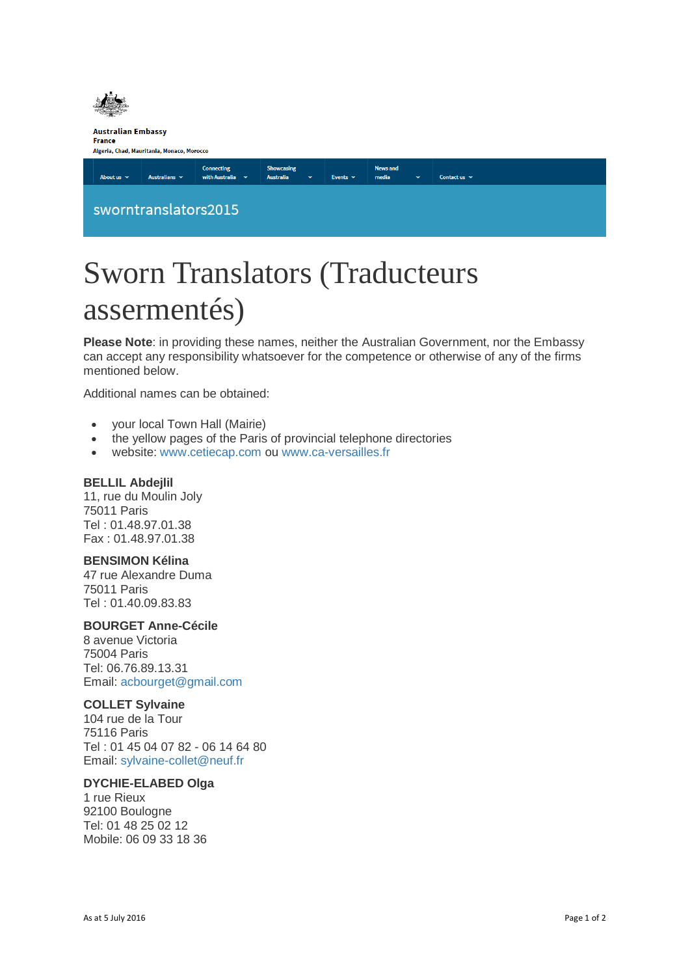

# Sworn Translators (Traducteurs assermentés)

**Please Note**: in providing these names, neither the Australian Government, nor the Embassy can accept any responsibility whatsoever for the competence or otherwise of any of the firms mentioned below.

Additional names can be obtained:

- your local Town Hall (Mairie)
- the yellow pages of the Paris of provincial telephone directories
- website: [www.cetiecap.com](http://www.cetiecap.com/) ou [www.ca-versailles.fr](http://www.ca-versailles.fr/)

## **BELLIL Abdejlil**

11, rue du Moulin Joly 75011 Paris Tel : 01.48.97.01.38 Fax : 01.48.97.01.38

## **BENSIMON Kélina**

47 rue Alexandre Duma 75011 Paris Tel : 01.40.09.83.83

## **BOURGET Anne-Cécile**

8 avenue Victoria 75004 Paris Tel: 06.76.89.13.31 Email: [acbourget@gmail.com](mailto:acbourget@gmail.com)

## **COLLET Sylvaine**

104 rue de la Tour 75116 Paris Tel : 01 45 04 07 82 - 06 14 64 80 Email: [sylvaine-collet@neuf.fr](mailto:sylvaine-collet@neuf.fr)

#### **DYCHIE-ELABED Olga**

1 rue Rieux 92100 Boulogne Tel: 01 48 25 02 12 Mobile: 06 09 33 18 36